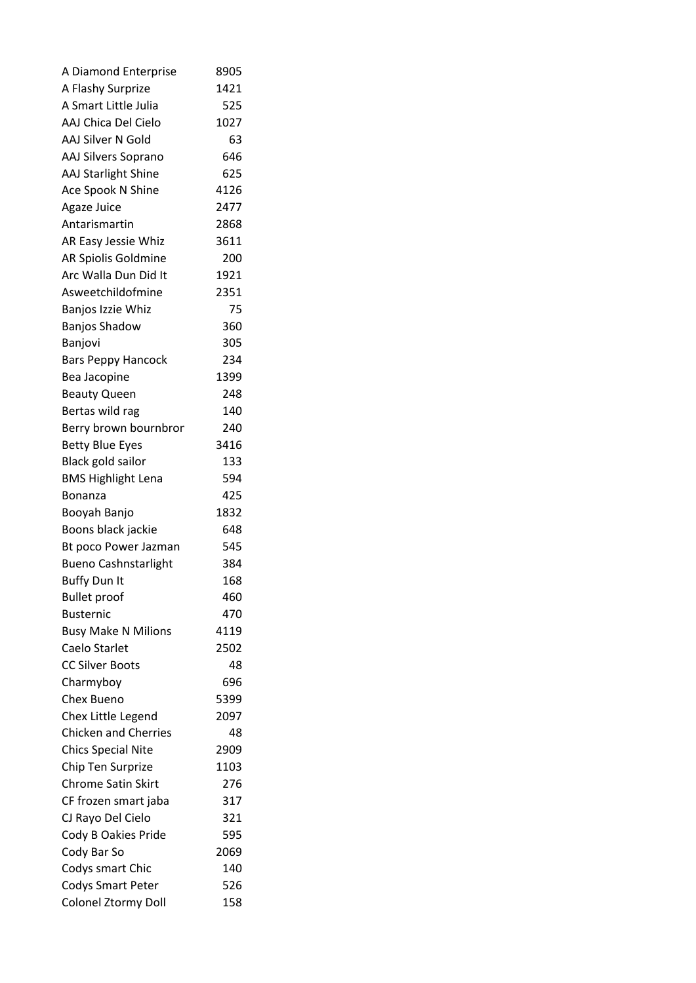| A Diamond Enterprise        | 8905       |
|-----------------------------|------------|
| A Flashy Surprize           | 1421       |
| A Smart Little Julia        | 525        |
| AAJ Chica Del Cielo         | 1027       |
| AAJ Silver N Gold           | 63         |
| <b>AAJ Silvers Soprano</b>  | 646        |
| <b>AAJ Starlight Shine</b>  | 625        |
| Ace Spook N Shine           | 4126       |
| Agaze Juice                 | 2477       |
| Antarismartin               | 2868       |
| AR Easy Jessie Whiz         | 3611       |
| AR Spiolis Goldmine         | 200        |
| Arc Walla Dun Did It        | 1921       |
| Asweetchildofmine           | 2351       |
| Banjos Izzie Whiz           | 75         |
| <b>Banjos Shadow</b>        | 360        |
| Banjovi                     | 305        |
| <b>Bars Peppy Hancock</b>   | 234        |
| Bea Jacopine                | 1399       |
| <b>Beauty Queen</b>         | 248        |
| Bertas wild rag             | 140        |
| Berry brown bournbron       | 240        |
| <b>Betty Blue Eyes</b>      | 3416       |
| Black gold sailor           | 133        |
| <b>BMS Highlight Lena</b>   | 594        |
| Bonanza                     | 425        |
| Booyah Banjo                | 1832       |
| Boons black jackie          | 648        |
|                             |            |
| Bt poco Power Jazman        | 545        |
| <b>Bueno Cashnstarlight</b> | 384<br>168 |
| <b>Buffy Dun It</b>         |            |
| <b>Bullet proof</b>         | 460        |
| <b>Busternic</b>            | 470        |
| <b>Busy Make N Milions</b>  | 4119       |
| Caelo Starlet               | 2502       |
| <b>CC Silver Boots</b>      | 48         |
| Charmyboy                   | 696        |
| Chex Bueno                  | 5399       |
| Chex Little Legend          | 2097       |
| <b>Chicken and Cherries</b> | 48         |
| <b>Chics Special Nite</b>   | 2909       |
| Chip Ten Surprize           | 1103       |
| <b>Chrome Satin Skirt</b>   | 276        |
| CF frozen smart jaba        | 317        |
| CJ Rayo Del Cielo           | 321        |
| Cody B Oakies Pride         | 595        |
| Cody Bar So                 | 2069       |
| Codys smart Chic            | 140        |
| <b>Codys Smart Peter</b>    | 526        |
| Colonel Ztormy Doll         | 158        |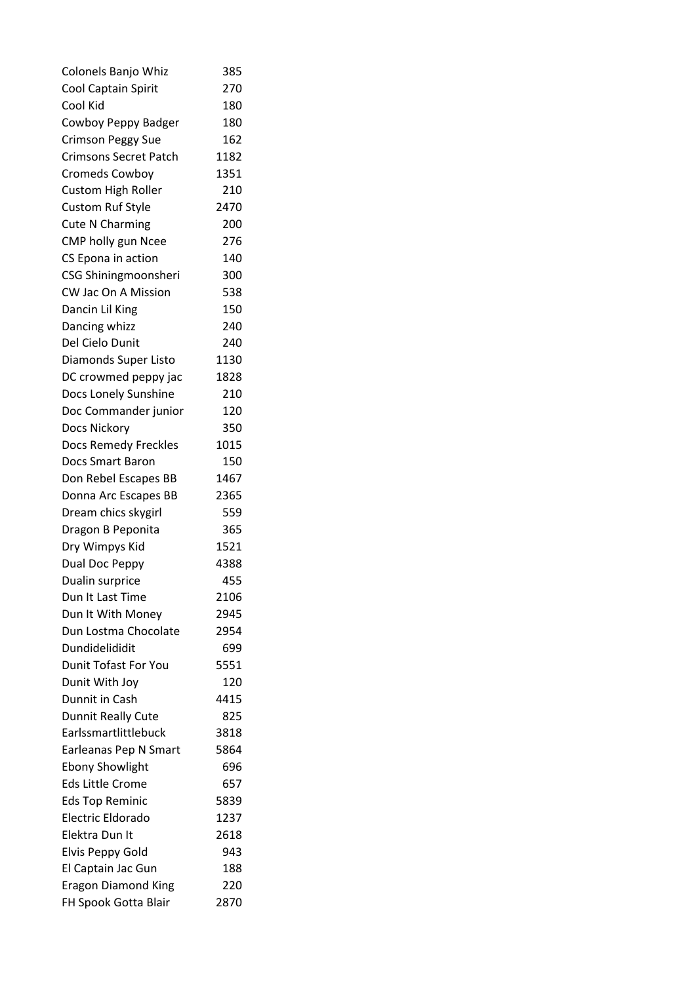| Colonels Banjo Whiz                               | 385  |
|---------------------------------------------------|------|
| Cool Captain Spirit                               | 270  |
| Cool Kid                                          | 180  |
| Cowboy Peppy Badger                               | 180  |
| <b>Crimson Peggy Sue</b>                          | 162  |
| <b>Crimsons Secret Patch</b>                      | 1182 |
| <b>Cromeds Cowboy</b>                             | 1351 |
| Custom High Roller                                | 210  |
| <b>Custom Ruf Style</b>                           | 2470 |
| <b>Cute N Charming</b>                            | 200  |
| CMP holly gun Ncee                                | 276  |
| CS Epona in action                                | 140  |
| CSG Shiningmoonsheri                              | 300  |
| <b>CW Jac On A Mission</b>                        | 538  |
| Dancin Lil King                                   | 150  |
| Dancing whizz                                     | 240  |
| Del Cielo Dunit                                   | 240  |
| Diamonds Super Listo                              | 1130 |
| DC crowmed peppy jac                              | 1828 |
| Docs Lonely Sunshine                              | 210  |
| Doc Commander junior                              | 120  |
| Docs Nickory                                      | 350  |
| Docs Remedy Freckles                              | 1015 |
| <b>Docs Smart Baron</b>                           | 150  |
| Don Rebel Escapes BB                              | 1467 |
| Donna Arc Escapes BB                              | 2365 |
| Dream chics skygirl                               | 559  |
| Dragon B Peponita                                 | 365  |
| Dry Wimpys Kid                                    | 1521 |
| Dual Doc Peppy                                    | 4388 |
| Dualin surprice                                   | 455  |
| Dun It Last Time                                  | 2106 |
| Dun It With Money                                 | 2945 |
| Dun Lostma Chocolate                              | 2954 |
| Dundidelididit                                    | 699  |
| <b>Dunit Tofast For You</b>                       | 5551 |
|                                                   | 120  |
| Dunit With Joy                                    |      |
| Dunnit in Cash                                    | 4415 |
| <b>Dunnit Really Cute</b><br>Earlssmartlittlebuck | 825  |
|                                                   | 3818 |
| Earleanas Pep N Smart                             | 5864 |
| <b>Ebony Showlight</b>                            | 696  |
| <b>Eds Little Crome</b>                           | 657  |
| <b>Eds Top Reminic</b>                            | 5839 |
| Electric Eldorado                                 | 1237 |
| Elektra Dun It                                    | 2618 |
| Elvis Peppy Gold                                  | 943  |
| El Captain Jac Gun                                | 188  |
| <b>Eragon Diamond King</b>                        | 220  |
| FH Spook Gotta Blair                              | 2870 |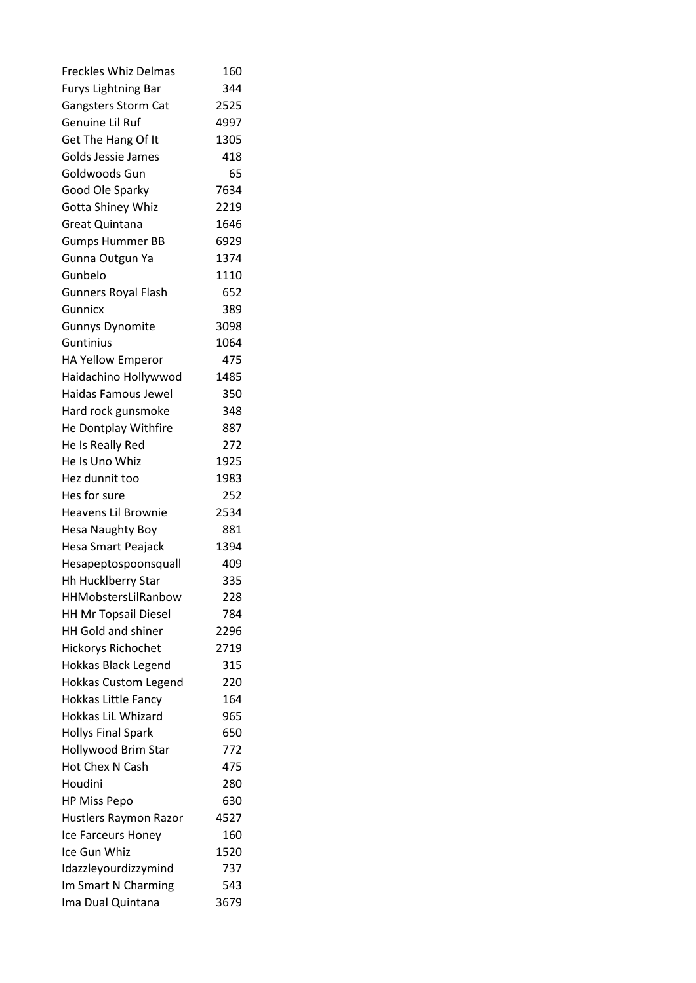| <b>Freckles Whiz Delmas</b> | 160  |
|-----------------------------|------|
| <b>Furys Lightning Bar</b>  | 344  |
| <b>Gangsters Storm Cat</b>  | 2525 |
| Genuine Lil Ruf             | 4997 |
| Get The Hang Of It          | 1305 |
| Golds Jessie James          | 418  |
| Goldwoods Gun               | 65   |
| Good Ole Sparky             | 7634 |
| Gotta Shiney Whiz           | 2219 |
| Great Quintana              | 1646 |
| <b>Gumps Hummer BB</b>      | 6929 |
| Gunna Outgun Ya             | 1374 |
| Gunbelo                     | 1110 |
| <b>Gunners Royal Flash</b>  | 652  |
| Gunnicx                     | 389  |
| <b>Gunnys Dynomite</b>      | 3098 |
| Guntinius                   | 1064 |
| HA Yellow Emperor           | 475  |
| Haidachino Hollywwod        | 1485 |
| Haidas Famous Jewel         | 350  |
| Hard rock gunsmoke          | 348  |
| He Dontplay Withfire        | 887  |
| He Is Really Red            | 272  |
| He Is Uno Whiz              | 1925 |
| Hez dunnit too              | 1983 |
| Hes for sure                | 252  |
| Heavens Lil Brownie         | 2534 |
| Hesa Naughty Boy            | 881  |
| <b>Hesa Smart Peajack</b>   | 1394 |
| Hesapeptospoonsquall        | 409  |
| <b>Hh Hucklberry Star</b>   | 335  |
| HHMobstersLilRanbow         | 228  |
| <b>HH Mr Topsail Diesel</b> | 784  |
| HH Gold and shiner          | 2296 |
| <b>Hickorys Richochet</b>   | 2719 |
|                             | 315  |
| <b>Hokkas Black Legend</b>  | 220  |
| <b>Hokkas Custom Legend</b> |      |
| <b>Hokkas Little Fancy</b>  | 164  |
| Hokkas LiL Whizard          | 965  |
| <b>Hollys Final Spark</b>   | 650  |
| Hollywood Brim Star         | 772  |
| Hot Chex N Cash             | 475  |
| Houdini                     | 280  |
| <b>HP Miss Pepo</b>         | 630  |
| Hustlers Raymon Razor       | 4527 |
| Ice Farceurs Honey          | 160  |
| Ice Gun Whiz                | 1520 |
| Idazzleyourdizzymind        | 737  |
| Im Smart N Charming         | 543  |
| Ima Dual Quintana           | 3679 |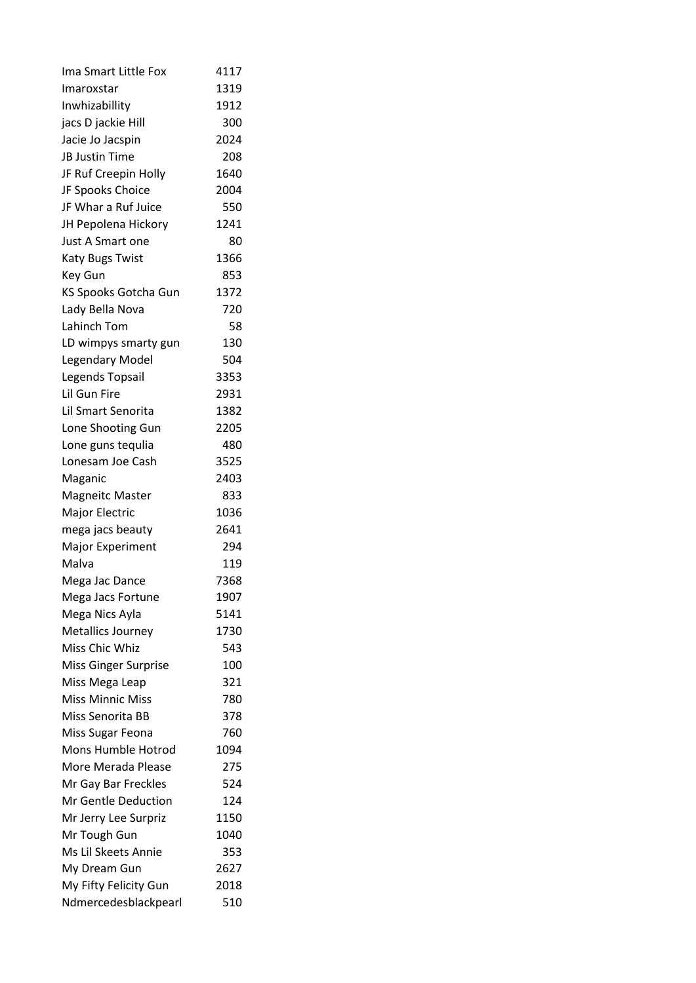| Ima Smart Little Fox     | 4117 |
|--------------------------|------|
| Imaroxstar               | 1319 |
| Inwhizabillity           | 1912 |
| jacs D jackie Hill       | 300  |
| Jacie Jo Jacspin         | 2024 |
| JB Justin Time           | 208  |
| JF Ruf Creepin Holly     | 1640 |
| JF Spooks Choice         | 2004 |
| JF Whar a Ruf Juice      | 550  |
| JH Pepolena Hickory      | 1241 |
| Just A Smart one         | 80   |
| <b>Katy Bugs Twist</b>   | 1366 |
| Key Gun                  | 853  |
| KS Spooks Gotcha Gun     | 1372 |
| Lady Bella Nova          | 720  |
| Lahinch Tom              | 58   |
| LD wimpys smarty gun     | 130  |
| <b>Legendary Model</b>   | 504  |
| Legends Topsail          | 3353 |
| Lil Gun Fire             | 2931 |
| Lil Smart Senorita       | 1382 |
| Lone Shooting Gun        | 2205 |
| Lone guns tequlia        | 480  |
| Lonesam Joe Cash         | 3525 |
| Maganic                  | 2403 |
| <b>Magneitc Master</b>   | 833  |
| Major Electric           | 1036 |
| mega jacs beauty         | 2641 |
| <b>Major Experiment</b>  | 294  |
| Malva                    | 119  |
| Mega Jac Dance           | 7368 |
| Mega Jacs Fortune        | 1907 |
| Mega Nics Ayla           | 5141 |
| <b>Metallics Journey</b> | 1730 |
| Miss Chic Whiz           | 543  |
| Miss Ginger Surprise     | 100  |
|                          | 321  |
| Miss Mega Leap           |      |
| <b>Miss Minnic Miss</b>  | 780  |
| Miss Senorita BB         | 378  |
| Miss Sugar Feona         | 760  |
| Mons Humble Hotrod       | 1094 |
| More Merada Please       | 275  |
| Mr Gay Bar Freckles      | 524  |
| Mr Gentle Deduction      | 124  |
| Mr Jerry Lee Surpriz     | 1150 |
| Mr Tough Gun             | 1040 |
| Ms Lil Skeets Annie      | 353  |
| My Dream Gun             | 2627 |
| My Fifty Felicity Gun    | 2018 |
| Ndmercedesblackpearl     | 510  |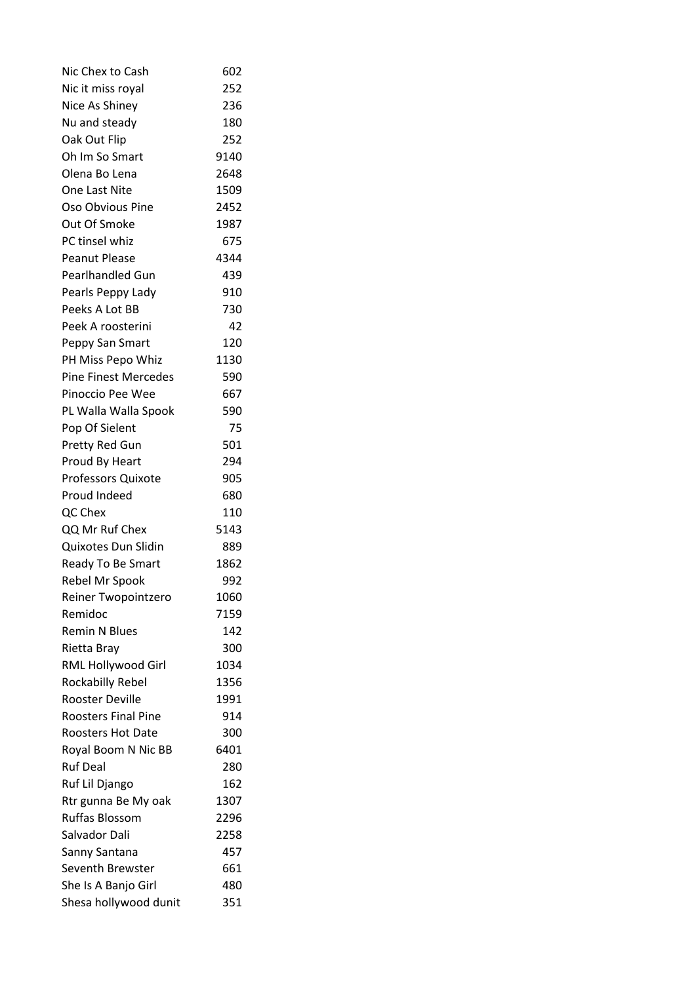| Nic Chex to Cash                      | 602  |
|---------------------------------------|------|
| Nic it miss royal                     | 252  |
| Nice As Shiney                        | 236  |
| Nu and steady                         | 180  |
| Oak Out Flip                          | 252  |
| Oh Im So Smart                        | 9140 |
| Olena Bo Lena                         | 2648 |
| One Last Nite                         | 1509 |
| Oso Obvious Pine                      | 2452 |
| Out Of Smoke                          | 1987 |
| PC tinsel whiz                        | 675  |
| <b>Peanut Please</b>                  | 4344 |
| Pearlhandled Gun                      | 439  |
| Pearls Peppy Lady                     | 910  |
| Peeks A Lot BB                        | 730  |
| Peek A roosterini                     | 42   |
| Peppy San Smart                       | 120  |
| PH Miss Pepo Whiz                     | 1130 |
| <b>Pine Finest Mercedes</b>           | 590  |
| Pinoccio Pee Wee                      | 667  |
| PL Walla Walla Spook                  | 590  |
| Pop Of Sielent                        | 75   |
| Pretty Red Gun                        | 501  |
| Proud By Heart                        | 294  |
| Professors Quixote                    | 905  |
| Proud Indeed                          | 680  |
| QC Chex                               | 110  |
| QQ Mr Ruf Chex                        | 5143 |
| Quixotes Dun Slidin                   | 889  |
| Ready To Be Smart                     | 1862 |
| Rebel Mr Spook                        | 992  |
| Reiner Twopointzero                   | 1060 |
| Remidoc                               | 7159 |
| <b>Remin N Blues</b>                  | 142  |
| Rietta Bray                           | 300  |
| RML Hollywood Girl                    | 1034 |
| Rockabilly Rebel                      | 1356 |
| <b>Rooster Deville</b>                | 1991 |
| <b>Roosters Final Pine</b>            | 914  |
| <b>Roosters Hot Date</b>              | 300  |
| Royal Boom N Nic BB                   | 6401 |
| <b>Ruf Deal</b>                       | 280  |
|                                       | 162  |
| Ruf Lil Django<br>Rtr gunna Be My oak | 1307 |
| <b>Ruffas Blossom</b>                 |      |
|                                       | 2296 |
| Salvador Dali                         | 2258 |
| Sanny Santana                         | 457  |
| Seventh Brewster                      | 661  |
| She Is A Banjo Girl                   | 480  |
| Shesa hollywood dunit                 | 351  |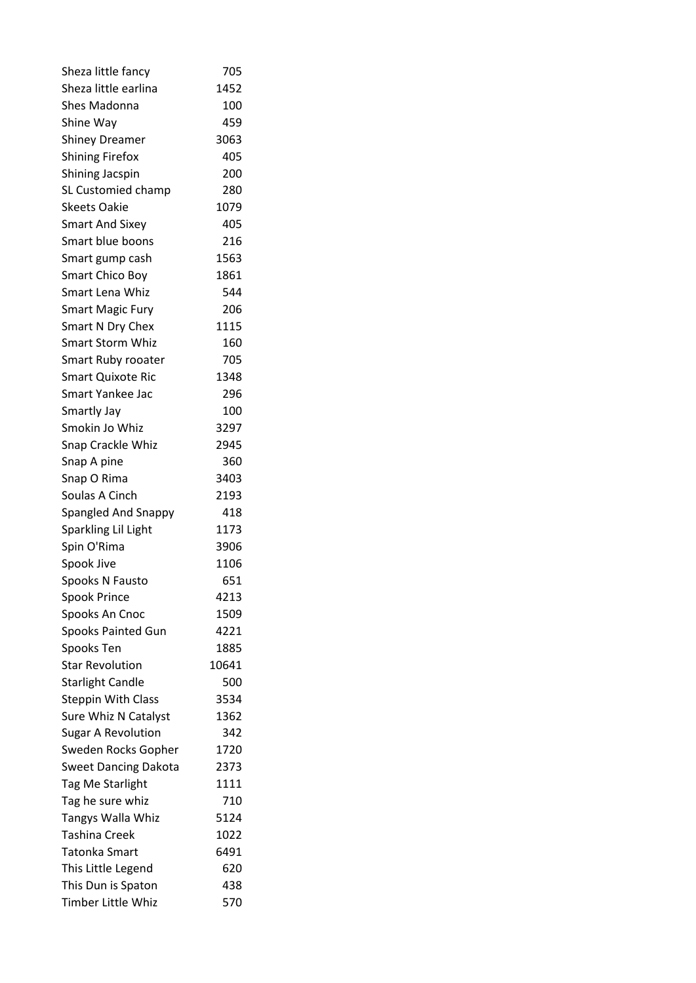| Sheza little fancy          | 705   |
|-----------------------------|-------|
| Sheza little earlina        | 1452  |
| <b>Shes Madonna</b>         | 100   |
| Shine Way                   | 459   |
| <b>Shiney Dreamer</b>       | 3063  |
| <b>Shining Firefox</b>      | 405   |
| <b>Shining Jacspin</b>      | 200   |
| SL Customied champ          | 280   |
| <b>Skeets Oakie</b>         | 1079  |
| <b>Smart And Sixey</b>      | 405   |
| Smart blue boons            | 216   |
| Smart gump cash             | 1563  |
| Smart Chico Boy             | 1861  |
| Smart Lena Whiz             | 544   |
| <b>Smart Magic Fury</b>     | 206   |
| Smart N Dry Chex            | 1115  |
| Smart Storm Whiz            | 160   |
| Smart Ruby rooater          | 705   |
| <b>Smart Quixote Ric</b>    | 1348  |
| Smart Yankee Jac            | 296   |
| Smartly Jay                 | 100   |
| Smokin Jo Whiz              | 3297  |
| Snap Crackle Whiz           | 2945  |
| Snap A pine                 | 360   |
| Snap O Rima                 | 3403  |
| Soulas A Cinch              | 2193  |
| Spangled And Snappy         | 418   |
| Sparkling Lil Light         | 1173  |
| Spin O'Rima                 | 3906  |
| Spook Jive                  | 1106  |
| Spooks N Fausto             | 651   |
| <b>Spook Prince</b>         | 4213  |
| Spooks An Cnoc              | 1509  |
| <b>Spooks Painted Gun</b>   | 4221  |
| Spooks Ten                  | 1885  |
| <b>Star Revolution</b>      | 10641 |
| <b>Starlight Candle</b>     | 500   |
| <b>Steppin With Class</b>   | 3534  |
|                             | 1362  |
| Sure Whiz N Catalyst        | 342   |
| <b>Sugar A Revolution</b>   |       |
| Sweden Rocks Gopher         | 1720  |
| <b>Sweet Dancing Dakota</b> | 2373  |
| Tag Me Starlight            | 1111  |
| Tag he sure whiz            | 710   |
| Tangys Walla Whiz           | 5124  |
| <b>Tashina Creek</b>        | 1022  |
| Tatonka Smart               | 6491  |
| This Little Legend          | 620   |
| This Dun is Spaton          | 438   |
| Timber Little Whiz          | 570   |